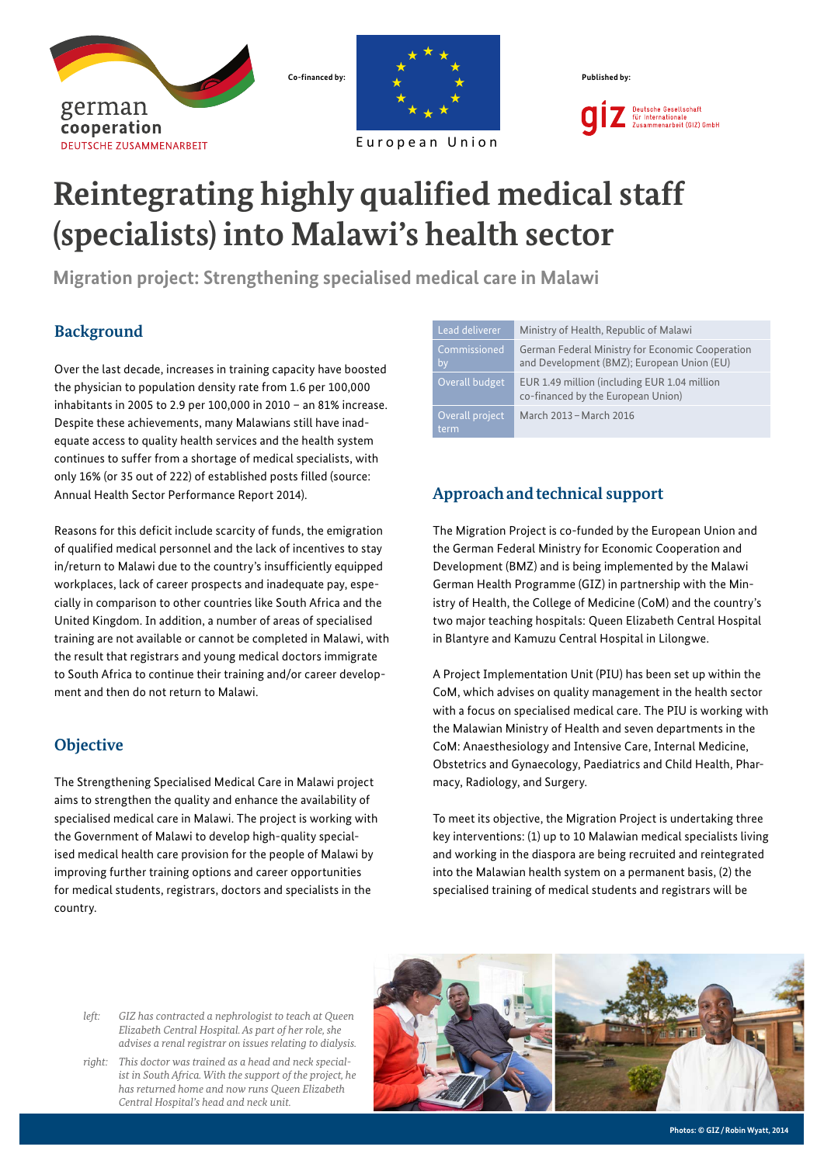



European Union

Deutsche Gesellschaft<br>für Internationale<br>Zusammenarbeit (GIZ) GmbH

# **Reintegrating highly qualified medical staff (specialists) into Malawi's health sector**

**Migration project: Strengthening specialised medical care in Malawi**

## **Background**

Over the last decade, increases in training capacity have boosted the physician to population density rate from 1.6 per 100,000 inhabitants in 2005 to 2.9 per 100,000 in 2010 – an 81% increase. Despite these achievements, many Malawians still have inadequate access to quality health services and the health system continues to suffer from a shortage of medical specialists, with only 16% (or 35 out of 222) of established posts filled (source: Annual Health Sector Performance Report 2014).

Reasons for this deficit include scarcity of funds, the emigration of qualified medical personnel and the lack of incentives to stay in/return to Malawi due to the country's insufficiently equipped workplaces, lack of career prospects and inadequate pay, especially in comparison to other countries like South Africa and the United Kingdom. In addition, a number of areas of specialised training are not available or cannot be completed in Malawi, with the result that registrars and young medical doctors immigrate to South Africa to continue their training and/or career development and then do not return to Malawi.

## **Objective**

The Strengthening Specialised Medical Care in Malawi project aims to strengthen the quality and enhance the availability of specialised medical care in Malawi. The project is working with the Government of Malawi to develop high-quality specialised medical health care provision for the people of Malawi by improving further training options and career opportunities for medical students, registrars, doctors and specialists in the country.

| Lead deliverer          | Ministry of Health, Republic of Malawi                                                         |
|-------------------------|------------------------------------------------------------------------------------------------|
| Commissioned<br>by      | German Federal Ministry for Economic Cooperation<br>and Development (BMZ); European Union (EU) |
| Overall budget          | EUR 1.49 million (including EUR 1.04 million<br>co-financed by the European Union)             |
| Overall project<br>term | March 2013 - March 2016                                                                        |

# **Approachandtechnical support**

The Migration Project is co-funded by the European Union and the German Federal Ministry for Economic Cooperation and Development (BMZ) and is being implemented by the Malawi German Health Programme (GIZ) in partnership with the Ministry of Health, the College of Medicine (CoM) and the country's two major teaching hospitals: Queen Elizabeth Central Hospital in Blantyre and Kamuzu Central Hospital in Lilongwe.

A Project Implementation Unit (PIU) has been set up within the CoM, which advises on quality management in the health sector with a focus on specialised medical care. The PIU is working with the Malawian Ministry of Health and seven departments in the CoM: Anaesthesiology and Intensive Care, Internal Medicine, Obstetrics and Gynaecology, Paediatrics and Child Health, Pharmacy, Radiology, and Surgery.

To meet its objective, the Migration Project is undertaking three key interventions: (1) up to 10 Malawian medical specialists living and working in the diaspora are being recruited and reintegrated into the Malawian health system on a permanent basis, (2) the specialised training of medical students and registrars will be

- *left: GIZ has contracted a nephrologist to teach at Queen Elizabeth Central Hospital. As part of her role, she advises a renal registrar on issues relating to dialysis.*
- *right: This doctor was trained as a head and neck specialist in South Africa. With the support of the project, he has returned home and now runs Queen Elizabeth Central Hospital's head and neck unit.*



**Photos: © GIZ/Robin Wyatt, 2014**